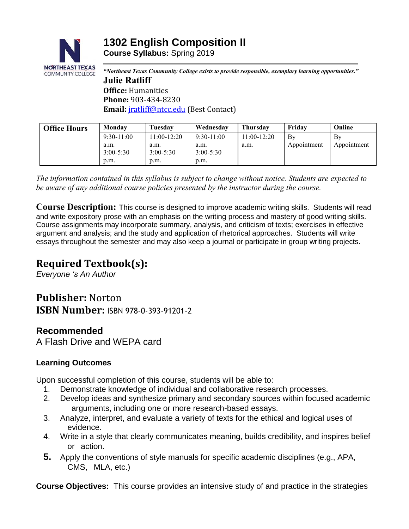

*"Northeast Texas Community College exists to provide responsible, exemplary learning opportunities."* **Julie Ratliff Office:** Humanities **Phone:** 903-434-8230 **Email:** [jratliff@ntcc.edu](mailto:jratliff@ntcc.edu) (Best Contact)

| <b>Office Hours</b> | Monday                | Tuesdav               | Wednesday             | <b>Thursday</b> | Fridav      | Online      |
|---------------------|-----------------------|-----------------------|-----------------------|-----------------|-------------|-------------|
|                     | $9:30-11:00$          | $11:00-12:20$         | $9:30-11:00$          | $11:00-12:20$   | $\rm\,By$   | Bv          |
|                     | a.m.<br>$3:00 - 5:30$ | a.m.<br>$3:00 - 5:30$ | a.m.<br>$3:00 - 5:30$ | a.m.            | Appointment | Appointment |
|                     | p.m.                  | p.m.                  | p.m.                  |                 |             |             |
|                     |                       |                       |                       |                 |             |             |

*The information contained in this syllabus is subject to change without notice. Students are expected to be aware of any additional course policies presented by the instructor during the course.*

**Course Description:** This course is designed to improve academic writing skills. Students will read and write expository prose with an emphasis on the writing process and mastery of good writing skills. Course assignments may incorporate summary, analysis, and criticism of texts; exercises in effective argument and analysis; and the study and application of rhetorical approaches. Students will write essays throughout the semester and may also keep a journal or participate in group writing projects.

# **Required Textbook(s):**

*Everyone 's An Author*

# **Publisher:** Norton **ISBN Number:** ISBN 978-0-393-91201-2

# **Recommended**

A Flash Drive and WEPA card

# **Learning Outcomes**

Upon successful completion of this course, students will be able to:

- 1. Demonstrate knowledge of individual and collaborative research processes.
- 2. Develop ideas and synthesize primary and secondary sources within focused academic arguments, including one or more research-based essays.
- 3. Analyze, interpret, and evaluate a variety of texts for the ethical and logical uses of evidence.
- 4. Write in a style that clearly communicates meaning, builds credibility, and inspires belief or action.
- **5.** Apply the conventions of style manuals for specific academic disciplines (e.g., APA, CMS, MLA, etc.)

**Course Objectives:** This course provides an **i**ntensive study of and practice in the strategies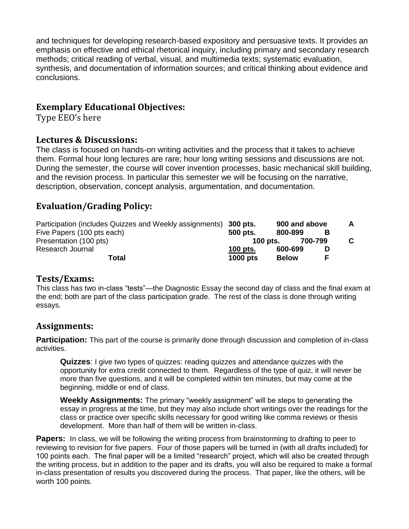and techniques for developing research-based expository and persuasive texts. It provides an emphasis on effective and ethical rhetorical inquiry, including primary and secondary research methods; critical reading of verbal, visual, and multimedia texts; systematic evaluation, synthesis, and documentation of information sources; and critical thinking about evidence and conclusions.

## **Exemplary Educational Objectives:**

Type EEO's here

### **Lectures & Discussions:**

The class is focused on hands-on writing activities and the process that it takes to achieve them. Formal hour long lectures are rare; hour long writing sessions and discussions are not. During the semester, the course will cover invention processes, basic mechanical skill building, and the revision process. In particular this semester we will be focusing on the narrative, description, observation, concept analysis, argumentation, and documentation.

# **Evaluation/Grading Policy:**

| Participation (includes Quizzes and Weekly assignments) 300 pts. |                 |              | 900 and above |   | A  |
|------------------------------------------------------------------|-----------------|--------------|---------------|---|----|
| Five Papers (100 pts each)                                       | 500 pts.        | 800-899      |               | в |    |
| Presentation (100 pts)                                           | 100 pts.        |              | 700-799       |   | C. |
| Research Journal                                                 | 100 pts.        | 600-699      |               |   |    |
| Total                                                            | <b>1000 pts</b> | <b>Below</b> |               | E |    |

#### **Tests/Exams:**

This class has two in-class "tests"—the Diagnostic Essay the second day of class and the final exam at the end; both are part of the class participation grade. The rest of the class is done through writing essays.

## **Assignments:**

**Participation:** This part of the course is primarily done through discussion and completion of in-class activities.

**Quizzes**: I give two types of quizzes: reading quizzes and attendance quizzes with the opportunity for extra credit connected to them. Regardless of the type of quiz, it will never be more than five questions, and it will be completed within ten minutes, but may come at the beginning, middle or end of class.

**Weekly Assignments:** The primary "weekly assignment" will be steps to generating the essay in progress at the time, but they may also include short writings over the readings for the class or practice over specific skills necessary for good writing like comma reviews or thesis development. More than half of them will be written in-class.

Papers: In class, we will be following the writing process from brainstorming to drafting to peer to reviewing to revision for five papers. Four of those papers will be turned in (with all drafts included) for 100 points each. The final paper will be a limited "research" project, which will also be created through the writing process, but in addition to the paper and its drafts, you will also be required to make a formal in-class presentation of results you discovered during the process. That paper, like the others, will be worth 100 points.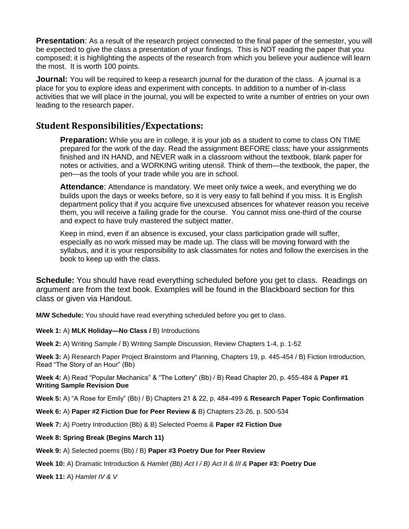**Presentation**: As a result of the research project connected to the final paper of the semester, you will be expected to give the class a presentation of your findings. This is NOT reading the paper that you composed; it is highlighting the aspects of the research from which you believe your audience will learn the most. It is worth 100 points.

**Journal:** You will be required to keep a research journal for the duration of the class. A journal is a place for you to explore ideas and experiment with concepts. In addition to a number of in-class activities that we will place in the journal, you will be expected to write a number of entries on your own leading to the research paper.

## **Student Responsibilities/Expectations:**

**Preparation:** While you are in college, it is your job as a student to come to class ON TIME prepared for the work of the day. Read the assignment BEFORE class; have your assignments finished and IN HAND, and NEVER walk in a classroom without the textbook, blank paper for notes or activities, and a WORKING writing utensil. Think of them—the textbook, the paper, the pen—as the tools of your trade while you are in school.

**Attendance**: Attendance is mandatory. We meet only twice a week, and everything we do builds upon the days or weeks before, so it is very easy to fall behind if you miss. It is English department policy that if you acquire five unexcused absences for whatever reason you receive them, you will receive a failing grade for the course. You cannot miss one-third of the course and expect to have truly mastered the subject matter.

Keep in mind, even if an absence is excused, your class participation grade will suffer, especially as no work missed may be made up. The class will be moving forward with the syllabus, and it is your responsibility to ask classmates for notes and follow the exercises in the book to keep up with the class.

**Schedule:** You should have read everything scheduled before you get to class. Readings on argument are from the text book. Examples will be found in the Blackboard section for this class or given via Handout.

**M/W Schedule:** You should have read everything scheduled before you get to class.

#### **Week 1:** A) **MLK Holiday—No Class /** B) Introductions

**Week 2:** A) Writing Sample / B) Writing Sample Discussion, Review Chapters 1-4, p. 1-52

**Week 3:** A) Research Paper Project Brainstorm and Planning, Chapters 19, p. 445-454 / B) Fiction Introduction, Read "The Story of an Hour" (Bb)

**Week 4:** A) Read "Popular Mechanics" & "The Lottery" (Bb) / B) Read Chapter 20, p. 455-484 & **Paper #1 Writing Sample Revision Due**

**Week 5:** A) "A Rose for Emily" (Bb) / B) Chapters 21 & 22, p. 484-499 & **Research Paper Topic Confirmation** 

**Week 6:** A) **Paper #2 Fiction Due for Peer Review &** B) Chapters 23-26, p. 500-534

**Week 7:** A) Poetry Introduction (Bb) & B) Selected Poems & **Paper #2 Fiction Due**

#### **Week 8: Spring Break (Begins March 11)**

**Week 9:** A) Selected poems (Bb) / B) **Paper #3 Poetry Due for Peer Review**

**Week 10:** A) Dramatic Introduction & *Hamlet (Bb) Act I / B) Act II & III &* **Paper #3: Poetry Due**

**Week 11:** A) *Hamlet IV & V*